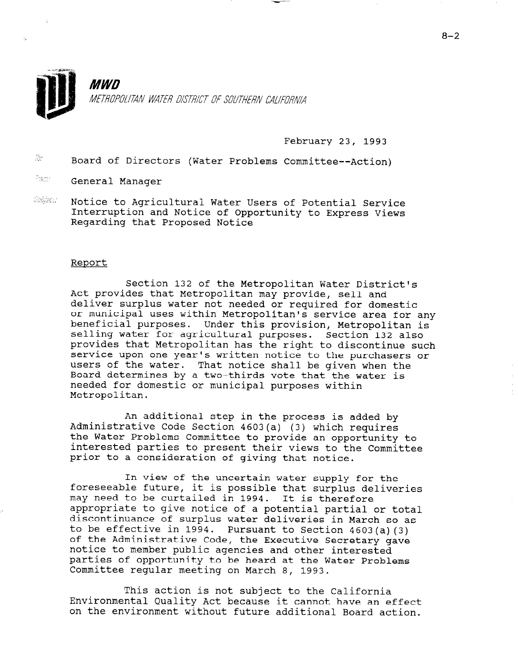

# **MWD** METROPOLITAN WATER DISTRICT OF SOUTHERN CALIFORNIA

February 23, 1993

 $\ddot{x}$  Board of Directors (Water Problems Committee--Action)

- I'M General Manager
- $555/96.1$ Notice to Agricultural Water Users of Potential Service Interruption and Notice of Opportunity to Express Views Regarding that Proposed Notice

#### Report

Section 132 of the Metropolitan Water District's Act provides that Metropolitan may provide, sell and deliver surplus water not needed or required for domestic or municipal uses within Metropolitan's service area for any beneficial purposes. Under this provision, Metropolitan is selling water for agricultural purposes. Section 132 also provides that Metropolitan has the right to discontinue such service upon one year's written notice to the purchasers or users of the water. That notice shall be given when the Board determines by a two-thirds vote that the water is needed for domestic or municipal purposes within Metropolitan.

An additional step in the process is added by Administrative Code Section 4603(a) (3) which requires the Water Problems Committee to provide an opportunity to interested parties to present their views to the Committee prior to a consideration of giving that notice.

In view of the uncertain water supply for the foreseeable future, it is possible that surplus deliveries may need to be curtailed in 1994. It is therefore may need to be curtained in 1994. It is therefore appropriate to give notice of a potential partial of total discontinuance of surplus water deliveries in March so as<br>to be effective in 1994. Pursuant to Section 4603(a)(3) co be effective in 1994. Pursuant to Section 4603(3)<br>of the Maninistrative Code, the Executive Secretary gave of the Administrative Code, the Executive Secretar notice to member public agencies and other interested parties of opportunity to be heard at the Water Problems<br>Committee regular meeting on March 8, 1993.

 $\mathbf{m}$  is action is not subject to the California  $\mathbf{m}$ Inis action is not subject to the California Environmental Quality Act because it cannot have an effect<br>on the environment without future additional Board action.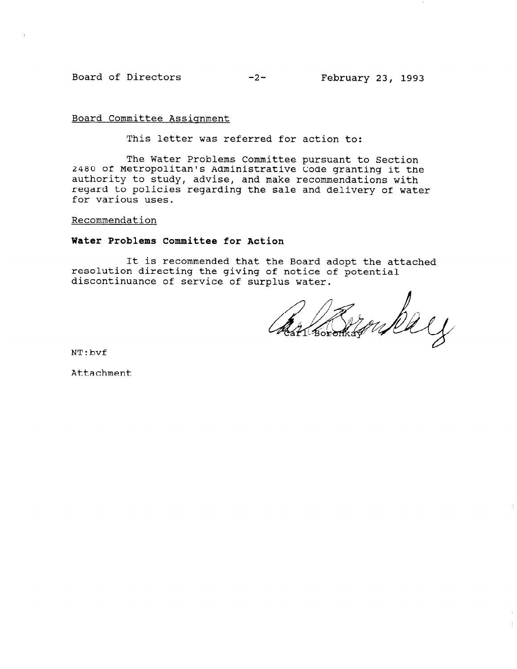Board of Directors -2- February 23, 1993

Board Committee Assignment

This letter was referred for action to:

The Water Problems Committee pursuant to Section 2480 of Metropolitan's Administrative Code granting it the authority to study, advise, and make recommendations with regard to policies regarding the sale and delivery of water for various uses.

### Recommendation

## Water Problems Committee for Action

It is recommended that the Board adopt the attached resolution directing the giving of notice of potential discontinuance of service of surplus water.

Con Boroman Dey

NT:bvf

Attachment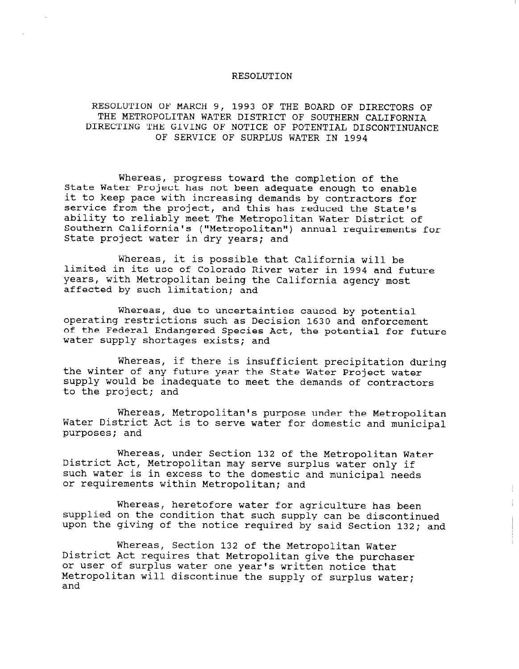### RESOLUTION

## RESOLUTION OF MARCH 9, 1993 OF THE BOARD OF DIRECTORS OF THE METROPOLITAN WATER DISTRICT OF SOUTHERN CALIFORNIA DIRECTING THE GIVING OF NOTICE OF POTENTIAL DISCONTINUANCE OF SERVICE OF SURPLUS WATER IN 1994

Whereas, progress toward the completion of the State Water Project has not been adequate enough to enable it to keep pace with increasing demands by contractors for service from the project, and this has reduced the State's ability to reliably meet The Metropolitan Water District of Southern California's ("Metropolitan") annual requirements for State project water in dry years; and

Whereas, it is possible that California will be limited in its use of Colorado River water in 1994 and future years, with Metropolitan being the California agency most affected by such limitation; and

Whereas, due to uncertainties caused by potential operating restrictions such as Decision 1630 and enforcement of the Federal Endangered Species Act, the potential for future water supply shortages exists; and

Whereas, if there is insufficient precipitation during the winter of any future year the State Water Project water supply would be inadequate to meet the demands of contractors to the project; and

Whereas, Metropolitan's purpose under the Metropolitan Water District Act is to serve water for domestic and municipal purposes; and

Whereas, under Section 132 of the Metropolitan Water misteas, and secorem iss of the necropolitan may be directly such water is in excess to the domestic and municipal needs or requirements within Metropolitan; and

Whereas, heretofore water for agriculture has been supplied on the condition that such supply can be discontinued upon the giving of the notice required by said Section 132; and

Whereas, Section 132 of the Metropolitan Water District Act requires that Metropolitan give the purchaser or user of surplus water one year's written notice that Metropolitan will discontinue the supply of surplus water;  $\frac{11}{2}$